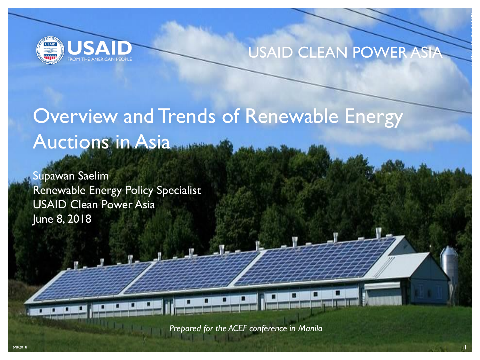

#### USAID CLEAN POWER ASIA

PHOTO CREDIT: ISTOCK.COM

# Overview and Trends of Renewable Energy Auctions in Asia

Supawan Saelim Renewable Energy Policy Specialist USAID Clean Power Asia June 8, 2018

*Prepared for the ACEF conference in Manila*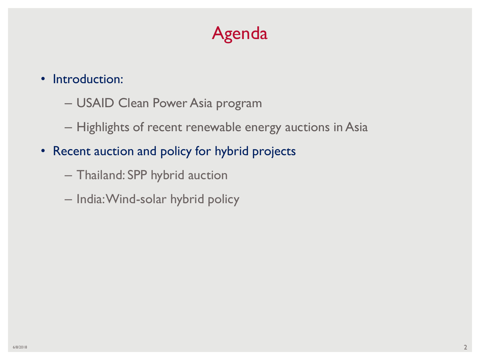## Agenda

- Introduction:
	- USAID Clean Power Asia program
	- Highlights of recent renewable energy auctions in Asia
- Recent auction and policy for hybrid projects
	- Thailand: SPP hybrid auction
	- India: Wind-solar hybrid policy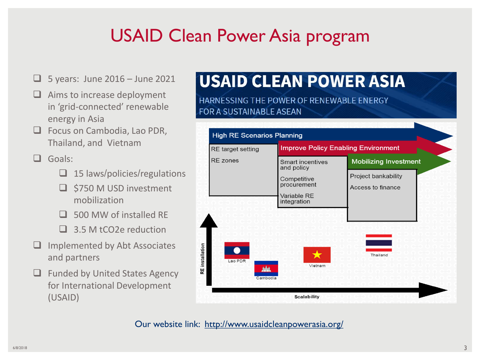## USAID Clean Power Asia program

- $\Box$  5 years: June 2016 June 2021
- $\Box$  Aims to increase deployment in 'grid-connected' renewable energy in Asia
- □ Focus on Cambodia, Lao PDR, Thailand, and Vietnam

Goals:

- $\Box$  15 laws/policies/regulations
- $\Box$  \$750 M USD investment mobilization
- □ 500 MW of installed RE
- □ 3.5 M tCO2e reduction
- $\Box$  Implemented by Abt Associates and partners
- $\Box$  Funded by United States Agency for International Development (USAID)

### **USAID CLEAN POWER ASIA**

HARNESSING THE POWER OF RENEWABLE ENERGY FOR A SUSTAINABLE ASEAN



Our website link: http://www.usaidcleanpowerasia.org/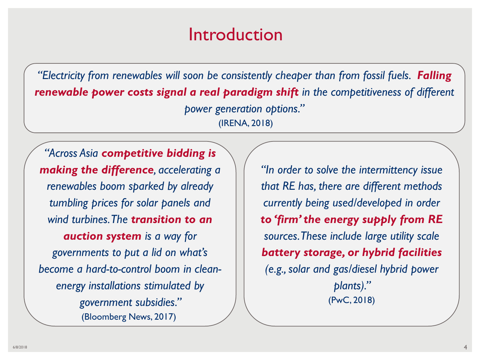### Introduction

*"Electricity from renewables will soon be consistently cheaper than from fossil fuels. Falling renewable power costs signal a real paradigm shift in the competitiveness of different power generation options."* (IRENA, 2018)

*"Across Asia competitive bidding is making the difference, accelerating a renewables boom sparked by already tumbling prices for solar panels and wind turbines. The transition to an auction system is a way for governments to put a lid on what's become a hard-to-control boom in cleanenergy installations stimulated by government subsidies."*  (Bloomberg News, 2017)

*"In order to solve the intermittency issue that RE has, there are different methods currently being used/developed in order to 'firm' the energy supply from RE sources. These include large utility scale battery storage, or hybrid facilities (e.g., solar and gas/diesel hybrid power plants)."*  (PwC, 2018)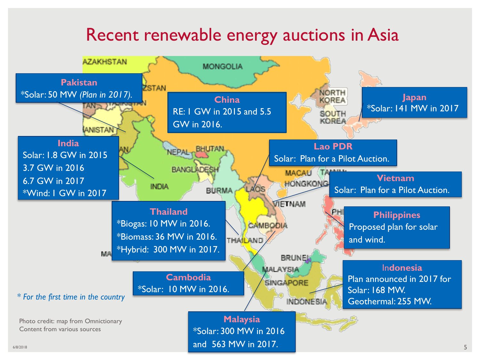### Recent renewable energy auctions in Asia

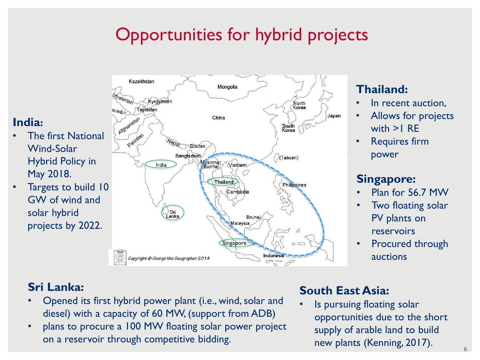## Opportunities for hybrid projects



- **The first National** Wind-Solar Hybrid Policy in May 2018.
- Targets to build 10 GW of wind and solar hybrid projects by 2022.



#### **Thailand:**

- In recent auction,
- Allows for projects with >1 RE
- Requires firm power

#### **Singapore:**

- Plan for 56.7 MW
- Two floating solar PV plants on reservoirs
- Procured through auctions

#### **Sri Lanka:**

- Opened its first hybrid power plant (i.e., wind, solar and diesel) with a capacity of 60 MW, (support from ADB)
- plans to procure a 100 MW floating solar power project on a reservoir through competitive bidding.

#### **South East Asia:**

Is pursuing floating solar opportunities due to the short supply of arable land to build new plants (Kenning, 2017).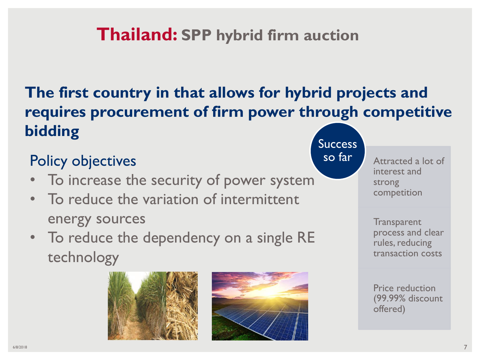### **Thailand: SPP hybrid firm auction**

### **The first country in that allows for hybrid projects and requires procurement of firm power through competitive bidding**

### Policy objectives and the south of the south of the south of the south of the south of the south of the south o

- To increase the security of power system
- To reduce the variation of intermittent energy sources
- To reduce the dependency on a single RE technology





**Success** 

Attracted a lot of interest and strong competition

**Transparent** process and clear rules, reducing transaction costs

Price reduction (99.99% discount offered)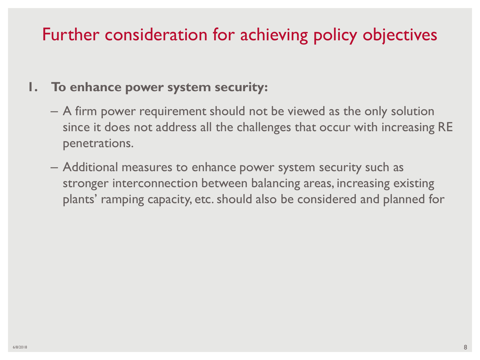### Further consideration for achieving policy objectives

#### **1. To enhance power system security:**

- A firm power requirement should not be viewed as the only solution since it does not address all the challenges that occur with increasing RE penetrations.
- Additional measures to enhance power system security such as stronger interconnection between balancing areas, increasing existing plants' ramping capacity, etc. should also be considered and planned for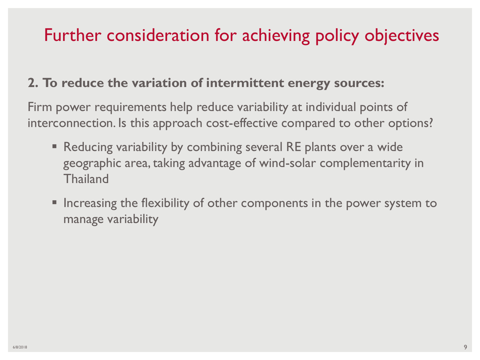### Further consideration for achieving policy objectives

#### **2. To reduce the variation of intermittent energy sources:**

Firm power requirements help reduce variability at individual points of interconnection. Is this approach cost-effective compared to other options?

- Reducing variability by combining several RE plants over a wide geographic area, taking advantage of wind-solar complementarity in **Thailand**
- **Increasing the flexibility of other components in the power system to** manage variability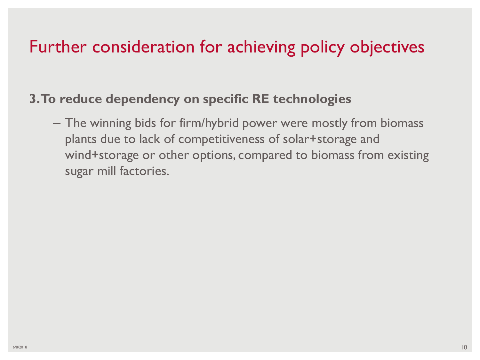### Further consideration for achieving policy objectives

#### **3. To reduce dependency on specific RE technologies**

– The winning bids for firm/hybrid power were mostly from biomass plants due to lack of competitiveness of solar+storage and wind+storage or other options, compared to biomass from existing sugar mill factories.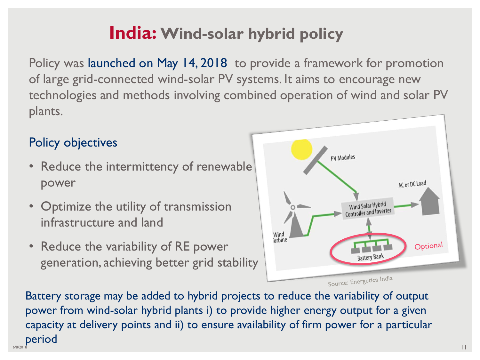## **India: Wind-solar hybrid policy**

Policy was launched on May 14, 2018 to provide a framework for promotion of large grid-connected wind-solar PV systems. It aims to encourage new technologies and methods involving combined operation of wind and solar PV plants.

#### Policy objectives

- Reduce the intermittency of renewable power
- Optimize the utility of transmission infrastructure and land
- Reduce the variability of RE power generation, achieving better grid stability



6/8/2018 **1999 - 1999 - 1999 - 1999 - 1999 - 1999 - 1999 - 1999 - 1999 - 1999 - 1999 - 1999 - 1999 - 1999 - 199** Battery storage may be added to hybrid projects to reduce the variability of output power from wind-solar hybrid plants i) to provide higher energy output for a given capacity at delivery points and ii) to ensure availability of firm power for a particular period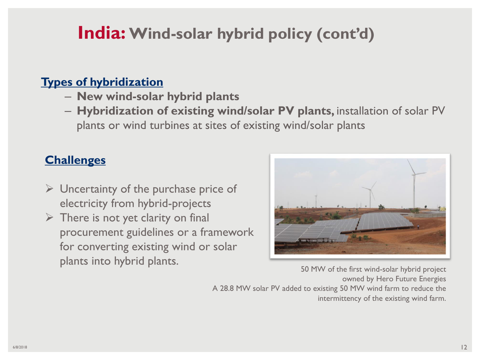### **India: Wind-solar hybrid policy (cont'd)**

#### **Types of hybridization**

- **New wind-solar hybrid plants**
- **Hybridization of existing wind/solar PV plants,** installation of solar PV plants or wind turbines at sites of existing wind/solar plants

#### **Challenges**

- $\triangleright$  Uncertainty of the purchase price of electricity from hybrid-projects
- $\triangleright$  There is not yet clarity on final procurement guidelines or a framework for converting existing wind or solar plants into hybrid plants.



50 MW of the first wind-solar hybrid project owned by Hero Future Energies A 28.8 MW solar PV added to existing 50 MW wind farm to reduce the intermittency of the existing wind farm.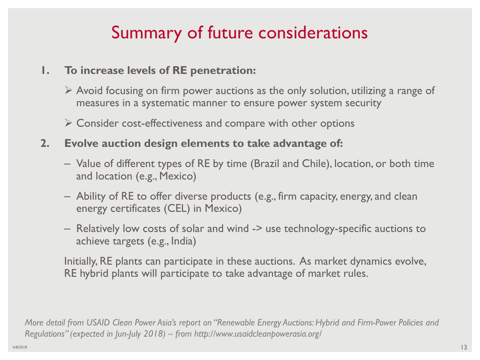## Summary of future considerations

- **1. To increase levels of RE penetration:**
	- $\triangleright$  Avoid focusing on firm power auctions as the only solution, utilizing a range of measures in a systematic manner to ensure power system security
	- $\triangleright$  Consider cost-effectiveness and compare with other options
- **2. Evolve auction design elements to take advantage of:**
	- Value of different types of RE by time (Brazil and Chile), location, or both time and location (e.g., Mexico)
	- Ability of RE to offer diverse products (e.g., firm capacity, energy, and clean energy certificates (CEL) in Mexico)
	- Relatively low costs of solar and wind -> use technology-specific auctions to achieve targets (e.g., India)

Initially, RE plants can participate in these auctions. As market dynamics evolve, RE hybrid plants will participate to take advantage of market rules.

*More detail from USAID Clean Power Asia's report on "Renewable Energy Auctions: Hybrid and Firm-Power Policies and Regulations" (expected in Jun-July 2018) – from http://www.usaidcleanpowerasia.org/*